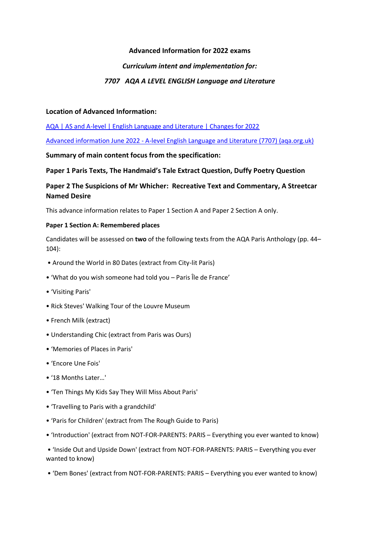## **Advanced Information for 2022 exams**

## *Curriculum intent and implementation for:*

## *7707 AQA A LEVEL ENGLISH Language and Literature*

### **Location of Advanced Information:**

[AQA | AS and A-level | English Language and Literature | Changes for 2022](https://www.aqa.org.uk/subjects/english/as-and-a-level/english-language-and-literature-7707/changes-for-2022)

Advanced information June 2022 - [A-level English Language and Literature \(7707\) \(aqa.org.uk\)](https://filestore.aqa.org.uk/content/summer-2022/AQA-7707-AI-22.PDF)

### **Summary of main content focus from the specification:**

## **Paper 1 Paris Texts, The Handmaid's Tale Extract Question, Duffy Poetry Question**

# **Paper 2 The Suspicions of Mr Whicher: Recreative Text and Commentary, A Streetcar Named Desire**

This advance information relates to Paper 1 Section A and Paper 2 Section A only.

### **Paper 1 Section A: Remembered places**

Candidates will be assessed on **two** of the following texts from the AQA Paris Anthology (pp. 44– 104):

- Around the World in 80 Dates (extract from City-lit Paris)
- 'What do you wish someone had told you Paris Île de France'
- 'Visiting Paris'
- Rick Steves' Walking Tour of the Louvre Museum
- French Milk (extract)
- Understanding Chic (extract from Paris was Ours)
- 'Memories of Places in Paris'
- 'Encore Une Fois'
- '18 Months Later…'
- 'Ten Things My Kids Say They Will Miss About Paris'
- 'Travelling to Paris with a grandchild'
- 'Paris for Children' (extract from The Rough Guide to Paris)
- 'Introduction' (extract from NOT-FOR-PARENTS: PARIS Everything you ever wanted to know)

• 'Inside Out and Upside Down' (extract from NOT-FOR-PARENTS: PARIS – Everything you ever wanted to know)

• 'Dem Bones' (extract from NOT-FOR-PARENTS: PARIS – Everything you ever wanted to know)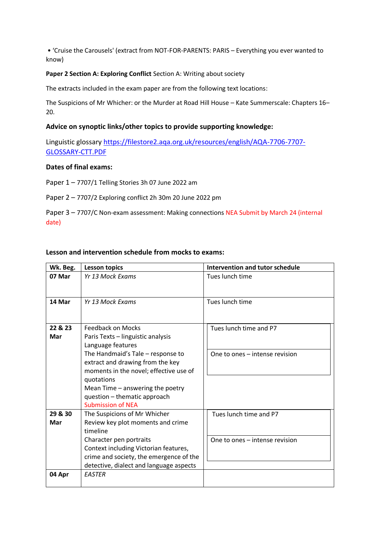• 'Cruise the Carousels' (extract from NOT-FOR-PARENTS: PARIS – Everything you ever wanted to know)

#### **Paper 2 Section A: Exploring Conflict** Section A: Writing about society

The extracts included in the exam paper are from the following text locations:

The Suspicions of Mr Whicher: or the Murder at Road Hill House – Kate Summerscale: Chapters 16– 20.

### **Advice on synoptic links/other topics to provide supporting knowledge:**

Linguistic glossary [https://filestore2.aqa.org.uk/resources/english/AQA-7706-7707-](https://filestore2.aqa.org.uk/resources/english/AQA-7706-7707-GLOSSARY-CTT.PDF) [GLOSSARY-CTT.PDF](https://filestore2.aqa.org.uk/resources/english/AQA-7706-7707-GLOSSARY-CTT.PDF)

### **Dates of final exams:**

Paper 1 – 7707/1 Telling Stories 3h 07 June 2022 am

Paper 2 – 7707/2 Exploring conflict 2h 30m 20 June 2022 pm

Paper 3 – 7707/C Non-exam assessment: Making connections NEA Submit by March 24 (internal date)

### **Lesson and intervention schedule from mocks to exams:**

| Wk. Beg. | <b>Lesson topics</b>                    | Intervention and tutor schedule |
|----------|-----------------------------------------|---------------------------------|
| 07 Mar   | Yr 13 Mock Exams                        | Tues lunch time                 |
|          |                                         |                                 |
| 14 Mar   | Yr 13 Mock Exams                        | Tues lunch time                 |
|          |                                         |                                 |
| 22 & 23  | <b>Feedback on Mocks</b>                | Tues lunch time and P7          |
| Mar      | Paris Texts - linguistic analysis       |                                 |
|          | Language features                       |                                 |
|          | The Handmaid's Tale - response to       | One to ones - intense revision  |
|          | extract and drawing from the key        |                                 |
|          | moments in the novel; effective use of  |                                 |
|          | quotations                              |                                 |
|          | Mean Time - answering the poetry        |                                 |
|          | question - thematic approach            |                                 |
|          | <b>Submission of NEA</b>                |                                 |
| 29 & 30  | The Suspicions of Mr Whicher            | Tues lunch time and P7          |
| Mar      | Review key plot moments and crime       |                                 |
|          | timeline                                |                                 |
|          | Character pen portraits                 | One to ones - intense revision  |
|          | Context including Victorian features,   |                                 |
|          | crime and society, the emergence of the |                                 |
|          | detective, dialect and language aspects |                                 |
| 04 Apr   | <b>EASTER</b>                           |                                 |
|          |                                         |                                 |